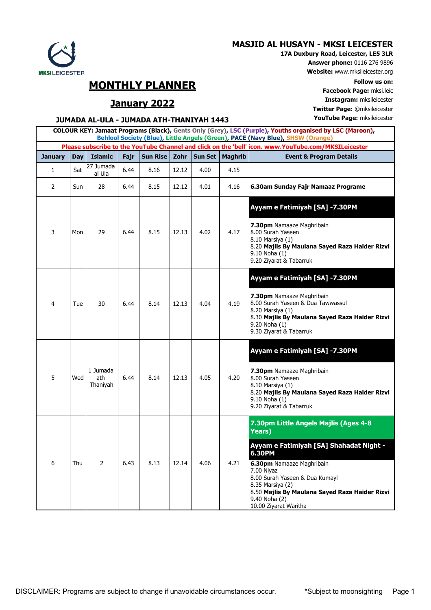## **MASJID AL HUSAYN - MKSI LEICESTER**



**MONTHLY PLANNER Follow us on:**

**Facebook Page:** mksi.leic **January 2022 Instagram:** mksileicester **Twitter Page:** @mksileicester

## **JUMADA AL-ULA - JUMADA ATH-THANIYAH 1443 YouTube Page:** mksileicester

| COLOUR KEY: Jamaat Programs (Black), Gents Only (Grey), LSC (Purple), Youths organised by LSC (Maroon),<br>Behlool Society (Blue), Little Angels (Green), PACE (Navy Blue), SHSW (Orange) |            |                             |      |          |       |         |                |                                                                                                                                                                                                                                                |  |  |
|-------------------------------------------------------------------------------------------------------------------------------------------------------------------------------------------|------------|-----------------------------|------|----------|-------|---------|----------------|------------------------------------------------------------------------------------------------------------------------------------------------------------------------------------------------------------------------------------------------|--|--|
| Please subscribe to the YouTube Channel and click on the 'bell' icon. www.YouTube.com/MKSILeicester                                                                                       |            |                             |      |          |       |         |                |                                                                                                                                                                                                                                                |  |  |
| <b>January</b>                                                                                                                                                                            | <b>Day</b> | <b>Islamic</b>              | Fajr | Sun Rise | Zohr  | Sun Set | <b>Maghrib</b> | <b>Event &amp; Program Details</b>                                                                                                                                                                                                             |  |  |
| 1                                                                                                                                                                                         | Sat        | 27 Jumada<br>al Ula         | 6.44 | 8.16     | 12.12 | 4.00    | 4.15           |                                                                                                                                                                                                                                                |  |  |
| $\overline{2}$                                                                                                                                                                            | Sun        | 28                          | 6.44 | 8.15     | 12.12 | 4.01    | 4.16           | 6.30am Sunday Fajr Namaaz Programe                                                                                                                                                                                                             |  |  |
|                                                                                                                                                                                           |            |                             |      |          |       |         |                | Ayyam e Fatimiyah [SA] -7.30PM                                                                                                                                                                                                                 |  |  |
| 3                                                                                                                                                                                         | Mon        | 29                          | 6.44 | 8.15     | 12.13 | 4.02    | 4.17           | 7.30pm Namaaze Maghribain<br>8.00 Surah Yaseen<br>8.10 Marsiya (1)<br>8.20 Majlis By Maulana Sayed Raza Haider Rizvi<br>9.10 Noha (1)<br>9.20 Ziyarat & Tabarruk                                                                               |  |  |
|                                                                                                                                                                                           |            |                             |      |          |       |         |                | Ayyam e Fatimiyah [SA] -7.30PM                                                                                                                                                                                                                 |  |  |
| 4                                                                                                                                                                                         | Tue        | 30                          | 6.44 | 8.14     | 12.13 | 4.04    | 4.19           | 7.30pm Namaaze Maghribain<br>8.00 Surah Yaseen & Dua Tawwassul<br>8.20 Marsiya (1)<br>8.30 Majlis By Maulana Sayed Raza Haider Rizvi<br>9.20 Noha (1)<br>9.30 Ziyarat & Tabarruk                                                               |  |  |
|                                                                                                                                                                                           |            |                             |      |          |       |         |                | Ayyam e Fatimiyah [SA] -7.30PM                                                                                                                                                                                                                 |  |  |
| 5                                                                                                                                                                                         | Wed        | 1 Jumada<br>ath<br>Thaniyah | 6.44 | 8.14     | 12.13 | 4.05    | 4.20           | 7.30pm Namaaze Maghribain<br>8.00 Surah Yaseen<br>8.10 Marsiya (1)<br>8.20 Majlis By Maulana Sayed Raza Haider Rizvi<br>9.10 Noha (1)<br>9.20 Ziyarat & Tabarruk                                                                               |  |  |
|                                                                                                                                                                                           |            |                             |      |          |       |         |                | 7.30pm Little Angels Majlis (Ages 4-8<br><b>Years</b> )                                                                                                                                                                                        |  |  |
| 6                                                                                                                                                                                         | Thu        | 2                           | 6.43 | 8.13     | 12.14 | 4.06    | 4.21           | Ayyam e Fatimiyah [SA] Shahadat Night -<br>6.30PM<br>6.30pm Namaaze Maghribain<br>7.00 Niyaz<br>8.00 Surah Yaseen & Dua Kumayl<br>8.35 Marsiya (2)<br>8.50 Majlis By Maulana Sayed Raza Haider Rizvi<br>9.40 Noha (2)<br>10.00 Ziyarat Waritha |  |  |



 $\mathbf{r}$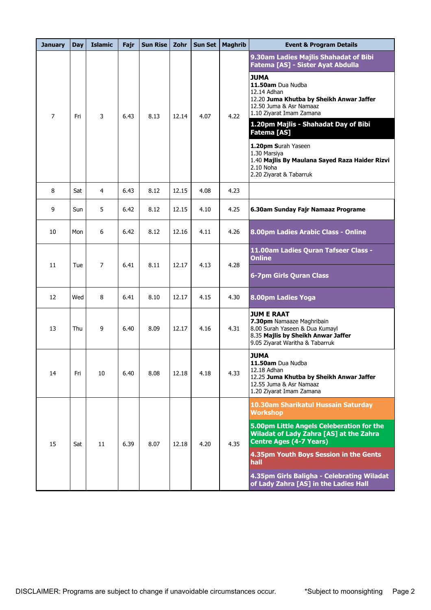| <b>January</b> | Day | <b>Islamic</b> | Fajr | <b>Sun Rise</b> | Zohr  | <b>Sun Set</b> | <b>Maghrib</b> | <b>Event &amp; Program Details</b>                                                                                                                                                                                                                                                                                                                                                                                       |
|----------------|-----|----------------|------|-----------------|-------|----------------|----------------|--------------------------------------------------------------------------------------------------------------------------------------------------------------------------------------------------------------------------------------------------------------------------------------------------------------------------------------------------------------------------------------------------------------------------|
| 7              | Fri | 3              | 6.43 | 8.13            | 12.14 | 4.07           | 4.22           | 9.30am Ladies Majlis Shahadat of Bibi<br>Fatema [AS] - Sister Ayat Abdulla<br><b>JUMA</b><br>11.50am Dua Nudba<br>12.14 Adhan<br>12.20 Juma Khutba by Sheikh Anwar Jaffer<br>12.50 Juma & Asr Namaaz<br>1.10 Ziyarat Imam Zamana<br>1.20pm Majlis - Shahadat Day of Bibi<br>Fatema [AS]<br>1.20pm Surah Yaseen<br>1.30 Marsiya<br>1.40 Majlis By Maulana Sayed Raza Haider Rizvi<br>2.10 Noha<br>2.20 Ziyarat & Tabarruk |
| 8              | Sat | 4              | 6.43 | 8.12            | 12.15 | 4.08           | 4.23           |                                                                                                                                                                                                                                                                                                                                                                                                                          |
| 9              | Sun | 5              | 6.42 | 8.12            | 12.15 | 4.10           | 4.25           | 6.30am Sunday Fajr Namaaz Programe                                                                                                                                                                                                                                                                                                                                                                                       |
| 10             | Mon | 6              | 6.42 | 8.12            | 12.16 | 4.11           | 4.26           | 8.00pm Ladies Arabic Class - Online                                                                                                                                                                                                                                                                                                                                                                                      |
| 11             | Tue | 7              | 6.41 | 8.11            | 12.17 | 4.13           | 4.28           | 11.00am Ladies Quran Tafseer Class -<br><b>Online</b><br><b>6-7pm Girls Quran Class</b>                                                                                                                                                                                                                                                                                                                                  |
| 12             | Wed | 8              | 6.41 | 8.10            | 12.17 | 4.15           | 4.30           | 8.00pm Ladies Yoga                                                                                                                                                                                                                                                                                                                                                                                                       |
| 13             | Thu | 9              | 6.40 | 8.09            | 12.17 | 4.16           | 4.31           | <b>JUM E RAAT</b><br>7.30pm Namaaze Maghribain<br>8.00 Surah Yaseen & Dua Kumayl<br>8.35 Majlis by Sheikh Anwar Jaffer<br>9.05 Ziyarat Waritha & Tabarruk                                                                                                                                                                                                                                                                |
| 14             | Fri | 10             | 6.40 | 8.08            | 12.18 | 4.18           | 4.33           | <b>JUMA</b><br>11.50am Dua Nudba<br>12.18 Adhan<br>12.25 Juma Khutba by Sheikh Anwar Jaffer<br>12.55 Juma & Asr Namaaz<br>1.20 Ziyarat Imam Zamana                                                                                                                                                                                                                                                                       |
| 15             | Sat | 11             | 6.39 | 8.07            | 12.18 | 4.20           | 4.35           | 10.30am Sharikatul Hussain Saturday<br><b>Workshop</b><br>5.00pm Little Angels Celeberation for the<br><b>Wiladat of Lady Zahra [AS] at the Zahra</b><br><b>Centre Ages (4-7 Years)</b><br>4.35pm Youth Boys Session in the Gents<br>hall<br>4.35pm Girls Baligha - Celebrating Wiladat<br>of Lady Zahra [AS] in the Ladies Hall                                                                                         |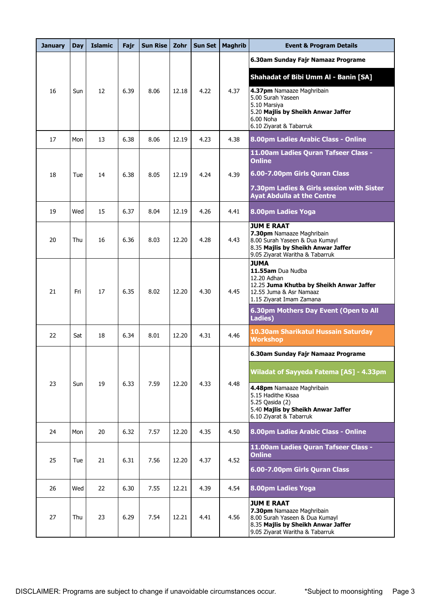| <b>January</b> | <b>Day</b> | <b>Islamic</b> | Fajr | <b>Sun Rise</b> | Zohr  | <b>Sun Set</b> | <b>Maghrib</b> | <b>Event &amp; Program Details</b>                                                                                                                                                   |
|----------------|------------|----------------|------|-----------------|-------|----------------|----------------|--------------------------------------------------------------------------------------------------------------------------------------------------------------------------------------|
|                |            |                |      |                 |       |                |                | 6.30am Sunday Fajr Namaaz Programe                                                                                                                                                   |
| 16             | Sun        | 12             | 6.39 | 8.06            | 12.18 | 4.22           | 4.37           | Shahadat of Bibi Umm Al - Banin [SA]<br>4.37pm Namaaze Maghribain<br>5.00 Surah Yaseen<br>5.10 Marsiya<br>5.20 Majlis by Sheikh Anwar Jaffer<br>6.00 Noha<br>6.10 Ziyarat & Tabarruk |
| 17             | Mon        | 13             | 6.38 | 8.06            | 12.19 | 4.23           | 4.38           | 8.00pm Ladies Arabic Class - Online                                                                                                                                                  |
| 18             | Tue        | 14             | 6.38 | 8.05            | 12.19 | 4.24           | 4.39           | 11.00am Ladies Quran Tafseer Class -<br><b>Online</b><br>6.00-7.00pm Girls Quran Class<br>7.30pm Ladies & Girls session with Sister<br><b>Ayat Abdulla at the Centre</b>             |
| 19             | Wed        | 15             | 6.37 | 8.04            | 12.19 | 4.26           | 4.41           | 8.00pm Ladies Yoga                                                                                                                                                                   |
| 20             | Thu        | 16             | 6.36 | 8.03            | 12.20 | 4.28           | 4.43           | <b>JUM E RAAT</b><br>7.30pm Namaaze Maghribain<br>8.00 Surah Yaseen & Dua Kumayl<br>8.35 Majlis by Sheikh Anwar Jaffer<br>9.05 Ziyarat Waritha & Tabarruk                            |
| 21             | Fri        | 17             | 6.35 | 8.02            | 12.20 | 4.30           | 4.45           | <b>JUMA</b><br>11.55am Dua Nudba<br>12.20 Adhan<br>12.25 Juma Khutba by Sheikh Anwar Jaffer<br>12.55 Juma & Asr Namaaz<br>1.15 Ziyarat Imam Zamana                                   |
|                |            |                |      |                 |       |                |                | 6.30pm Mothers Day Event (Open to All<br>Ladies)                                                                                                                                     |
| 22             | Sat        | 18             | 6.34 | 8.01            | 12.20 | 4.31           | 4.46           | 10.30am Sharikatul Hussain Saturday<br><b>Workshop</b>                                                                                                                               |
|                |            |                |      |                 |       |                |                | 6.30am Sunday Fajr Namaaz Programe                                                                                                                                                   |
| 23             | Sun        | 19             | 6.33 | 7.59            | 12.20 | 4.33           | 4.48           | Wiladat of Sayyeda Fatema [AS] - 4.33pm<br>4.48pm Namaaze Maghribain<br>5.15 Hadithe Kisaa<br>5.25 Qasida (2)<br>5.40 Majlis by Sheikh Anwar Jaffer<br>6.10 Ziyarat & Tabarruk       |
| 24             | Mon        | 20             | 6.32 | 7.57            | 12.20 | 4.35           | 4.50           | 8.00pm Ladies Arabic Class - Online                                                                                                                                                  |
| 25             | Tue        | 21             | 6.31 | 7.56            | 12.20 | 4.37           | 4.52           | 11.00am Ladies Quran Tafseer Class -<br><b>Online</b><br>6.00-7.00pm Girls Quran Class                                                                                               |
| 26             | Wed        | 22             | 6.30 | 7.55            | 12.21 | 4.39           | 4.54           | 8.00pm Ladies Yoga                                                                                                                                                                   |
| 27             | Thu        | 23             | 6.29 | 7.54            | 12.21 | 4.41           | 4.56           | <b>JUM E RAAT</b><br>7.30pm Namaaze Maghribain<br>8.00 Surah Yaseen & Dua Kumayl<br>8.35 Majlis by Sheikh Anwar Jaffer<br>9.05 Ziyarat Waritha & Tabarruk                            |